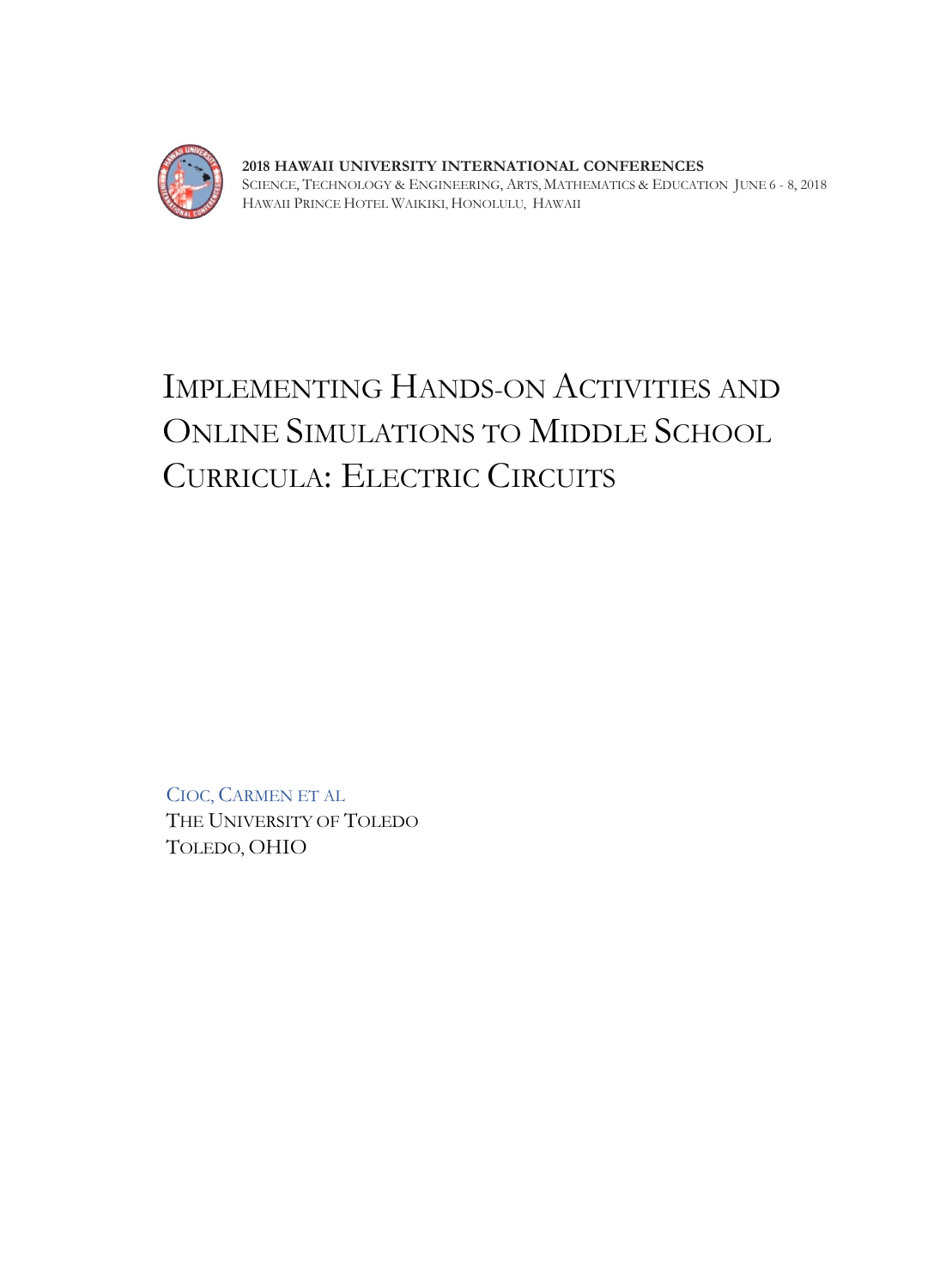

**STEAM -** SCIENCE, TECHNOLOGY & ENGINEERING, ARTS, MATHEMATICS & EDUCATION JUNE 6 - 8, 2018 PRINCE WAIKIKI, HONOLULU, HAWAII

# IMPLEMENTING HANDS-ON ACTIVITIES AND ONLINE SIMULATIONS TO MIDDLE SCHOOL CURRICULA: ELECTRIC CIRCUITS

CIOC, CARMEN ET AL THE UNIVERSITY OF TOLEDO TOLEDO, OHIO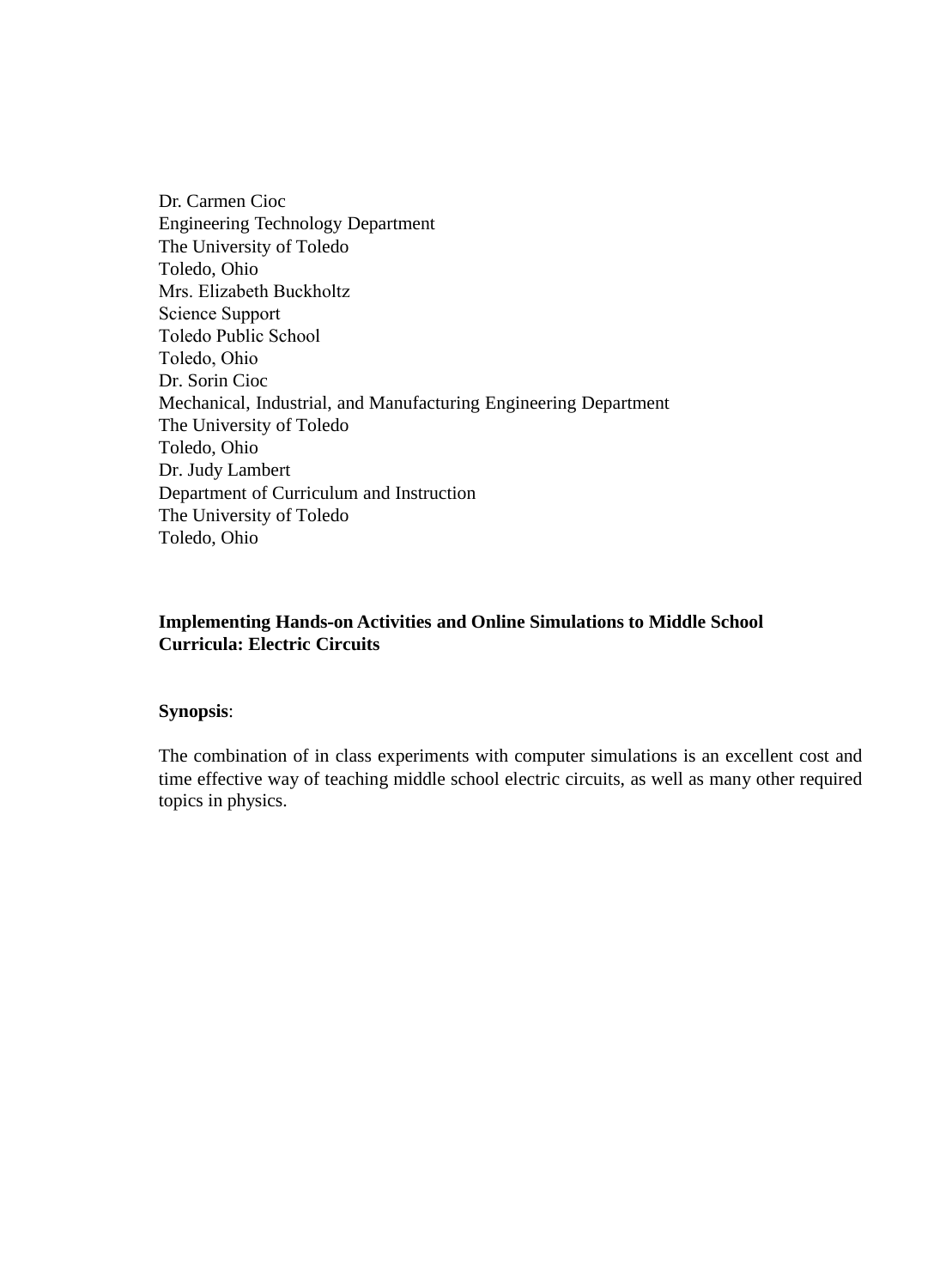Dr. Carmen Cioc Engineering Technology Department The University of Toledo Toledo, Ohio Mrs. Elizabeth Buckholtz Science Support Toledo Public School Toledo, Ohio Dr. Sorin Cioc Mechanical, Industrial, and Manufacturing Engineering Department The University of Toledo Toledo, Ohio Dr. Judy Lambert Department of Curriculum and Instruction The University of Toledo Toledo, Ohio

#### **Implementing Hands-on Activities and Online Simulations to Middle School Curricula: Electric Circuits**

#### **Synopsis**:

The combination of in class experiments with computer simulations is an excellent cost and time effective way of teaching middle school electric circuits, as well as many other required topics in physics.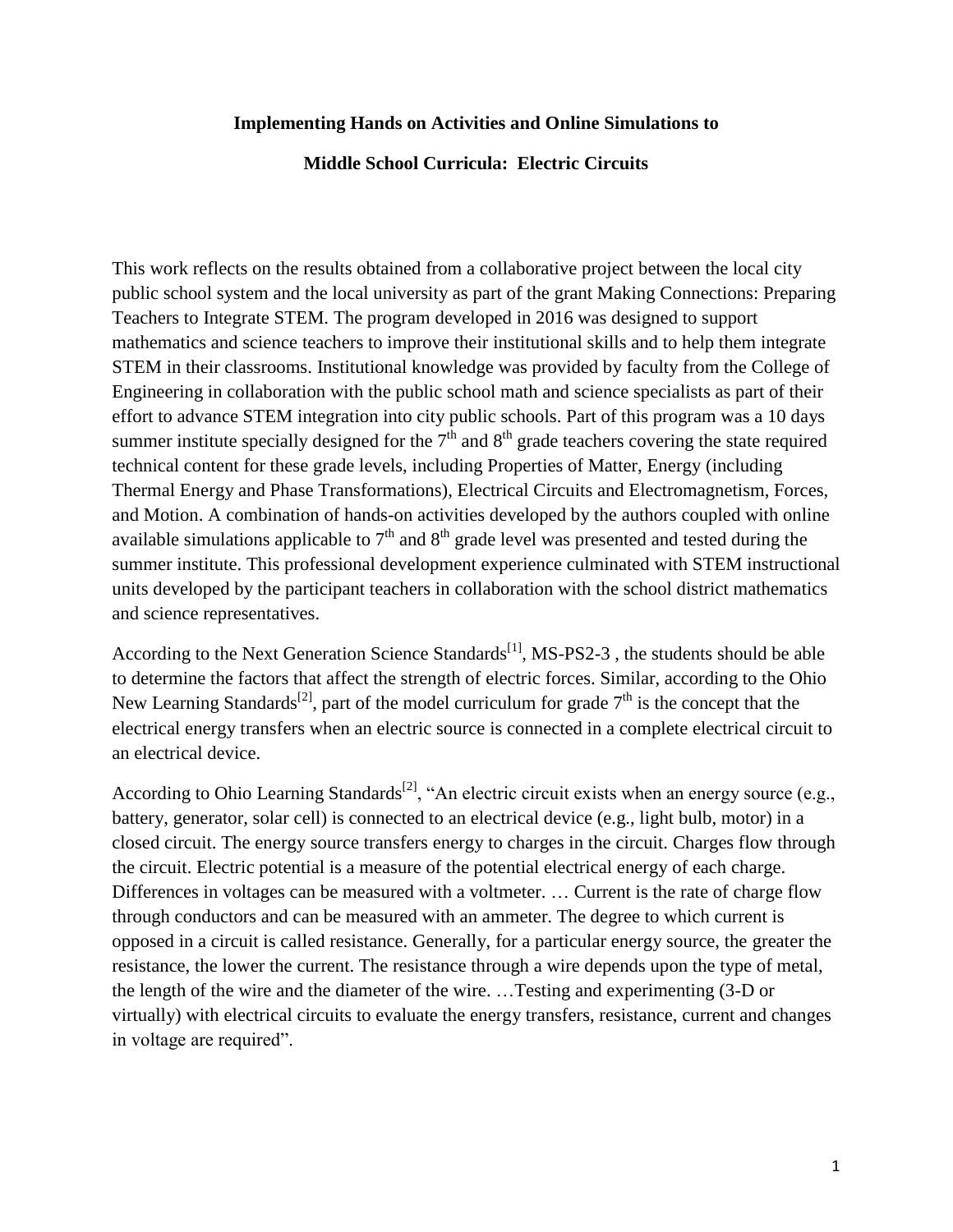#### **Implementing Hands on Activities and Online Simulations to**

#### **Middle School Curricula: Electric Circuits**

This work reflects on the results obtained from a collaborative project between the local city public school system and the local university as part of the grant Making Connections: Preparing Teachers to Integrate STEM. The program developed in 2016 was designed to support mathematics and science teachers to improve their institutional skills and to help them integrate STEM in their classrooms. Institutional knowledge was provided by faculty from the College of Engineering in collaboration with the public school math and science specialists as part of their effort to advance STEM integration into city public schools. Part of this program was a 10 days summer institute specially designed for the  $7<sup>th</sup>$  and  $8<sup>th</sup>$  grade teachers covering the state required technical content for these grade levels, including Properties of Matter, Energy (including Thermal Energy and Phase Transformations), Electrical Circuits and Electromagnetism, Forces, and Motion. A combination of hands-on activities developed by the authors coupled with online available simulations applicable to  $7<sup>th</sup>$  and  $8<sup>th</sup>$  grade level was presented and tested during the summer institute. This professional development experience culminated with STEM instructional units developed by the participant teachers in collaboration with the school district mathematics and science representatives.

According to the Next Generation Science Standards<sup>[1]</sup>, MS-PS2-3, the students should be able to determine the factors that affect the strength of electric forces. Similar, according to the Ohio New Learning Standards<sup>[2]</sup>, part of the model curriculum for grade  $7<sup>th</sup>$  is the concept that the electrical energy transfers when an electric source is connected in a complete electrical circuit to an electrical device.

According to Ohio Learning Standards<sup>[2]</sup>, "An electric circuit exists when an energy source (e.g., battery, generator, solar cell) is connected to an electrical device (e.g., light bulb, motor) in a closed circuit. The energy source transfers energy to charges in the circuit. Charges flow through the circuit. Electric potential is a measure of the potential electrical energy of each charge. Differences in voltages can be measured with a voltmeter. … Current is the rate of charge flow through conductors and can be measured with an ammeter. The degree to which current is opposed in a circuit is called resistance. Generally, for a particular energy source, the greater the resistance, the lower the current. The resistance through a wire depends upon the type of metal, the length of the wire and the diameter of the wire. …Testing and experimenting (3-D or virtually) with electrical circuits to evaluate the energy transfers, resistance, current and changes in voltage are required".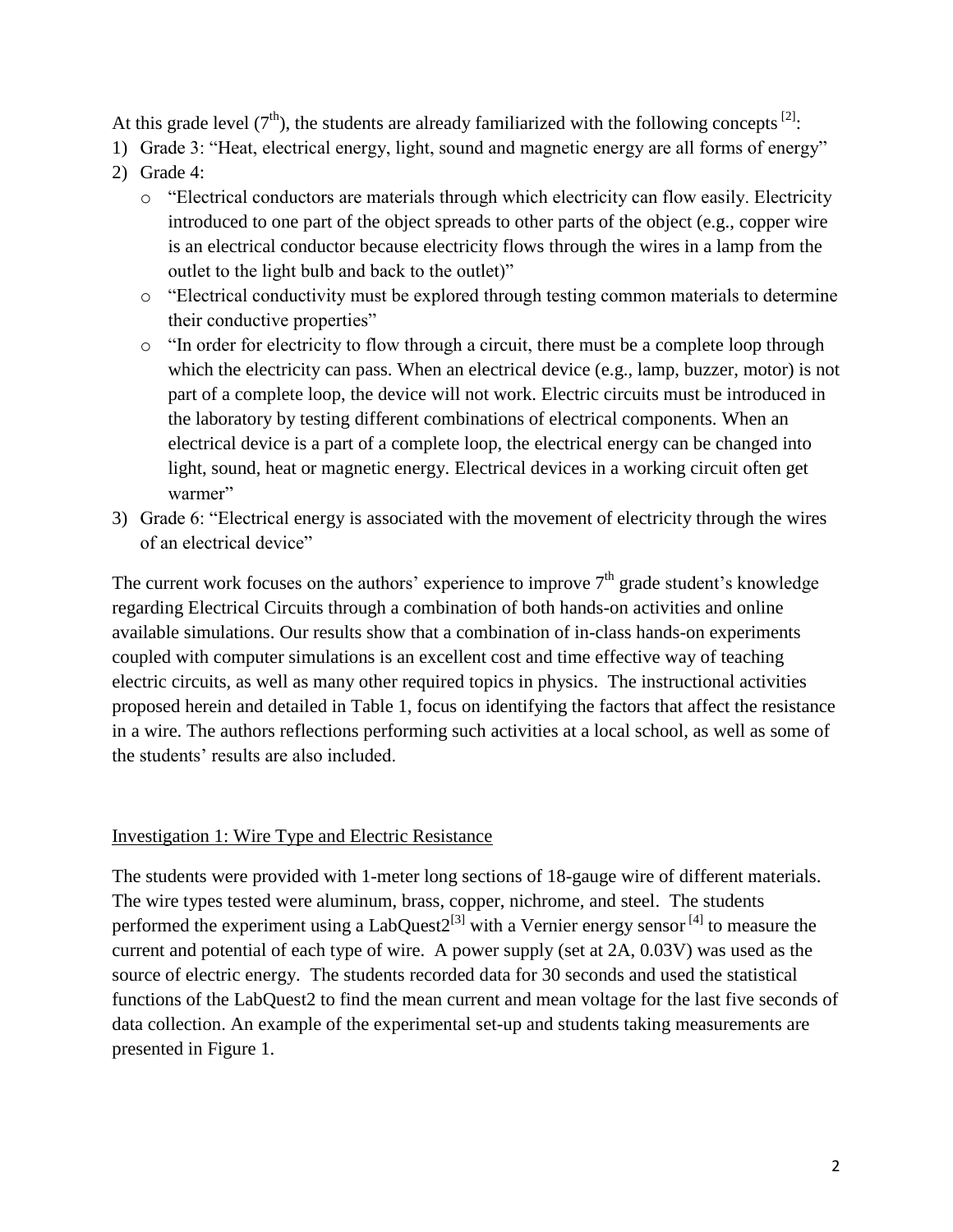At this grade level  $(7<sup>th</sup>)$ , the students are already familiarized with the following concepts  $^{[2]}$ :

- 1) Grade 3: "Heat, electrical energy, light, sound and magnetic energy are all forms of energy"
- 2) Grade 4:
	- o "Electrical conductors are materials through which electricity can flow easily. Electricity introduced to one part of the object spreads to other parts of the object (e.g., copper wire is an electrical conductor because electricity flows through the wires in a lamp from the outlet to the light bulb and back to the outlet)"
	- o "Electrical conductivity must be explored through testing common materials to determine their conductive properties"
	- o "In order for electricity to flow through a circuit, there must be a complete loop through which the electricity can pass. When an electrical device (e.g., lamp, buzzer, motor) is not part of a complete loop, the device will not work. Electric circuits must be introduced in the laboratory by testing different combinations of electrical components. When an electrical device is a part of a complete loop, the electrical energy can be changed into light, sound, heat or magnetic energy. Electrical devices in a working circuit often get warmer"
- 3) Grade 6: "Electrical energy is associated with the movement of electricity through the wires of an electrical device"

The current work focuses on the authors' experience to improve  $7<sup>th</sup>$  grade student's knowledge regarding Electrical Circuits through a combination of both hands-on activities and online available simulations. Our results show that a combination of in-class hands-on experiments coupled with computer simulations is an excellent cost and time effective way of teaching electric circuits, as well as many other required topics in physics. The instructional activities proposed herein and detailed in Table 1, focus on identifying the factors that affect the resistance in a wire. The authors reflections performing such activities at a local school, as well as some of the students' results are also included.

#### Investigation 1: Wire Type and Electric Resistance

The students were provided with 1-meter long sections of 18-gauge wire of different materials. The wire types tested were aluminum, brass, copper, nichrome, and steel. The students performed the experiment using a LabQuest2<sup>[3]</sup> with a Vernier energy sensor <sup>[4]</sup> to measure the current and potential of each type of wire. A power supply (set at 2A, 0.03V) was used as the source of electric energy. The students recorded data for 30 seconds and used the statistical functions of the LabQuest2 to find the mean current and mean voltage for the last five seconds of data collection. An example of the experimental set-up and students taking measurements are presented in Figure 1.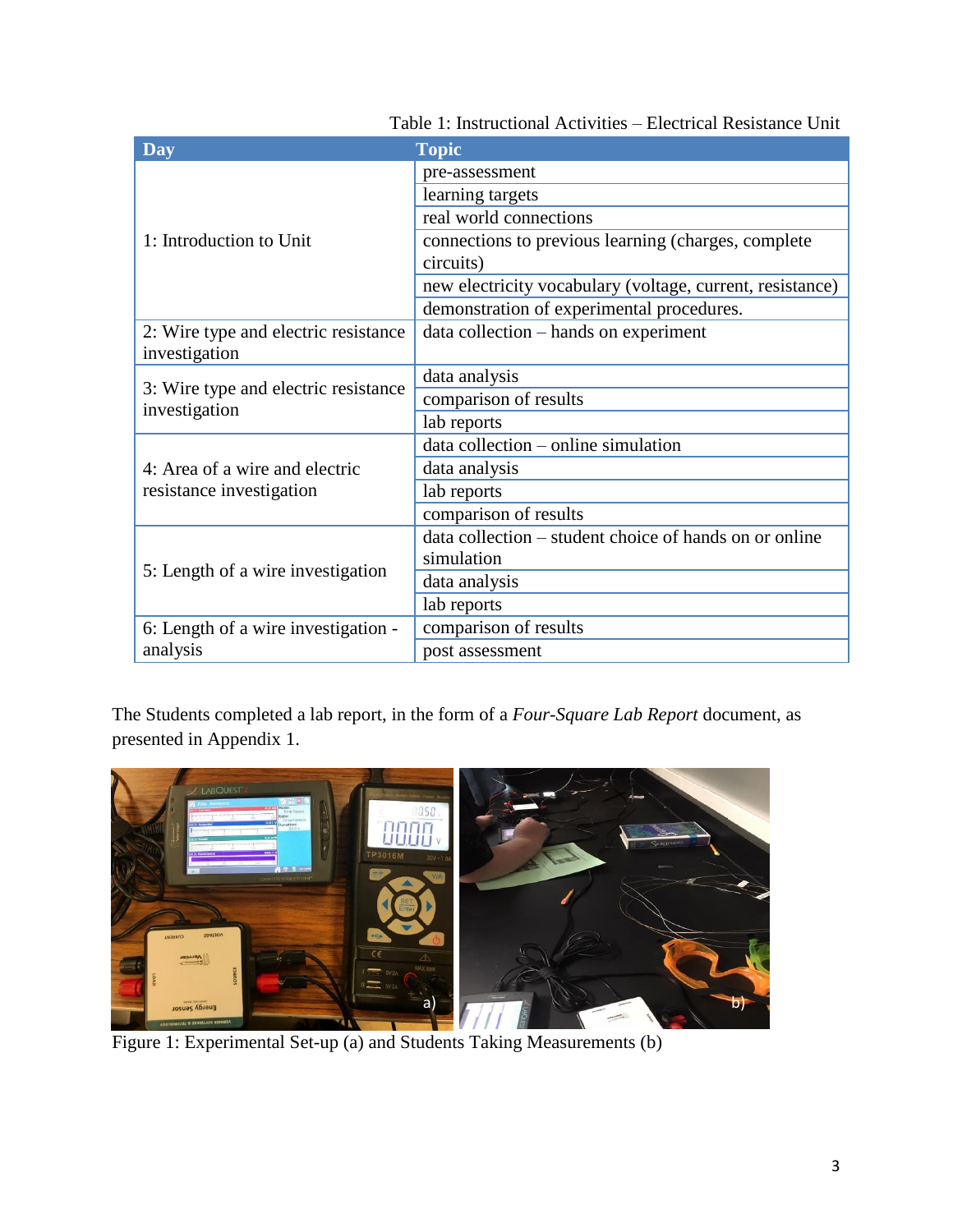| Day                                                   | <b>Topic</b>                                              |
|-------------------------------------------------------|-----------------------------------------------------------|
|                                                       | pre-assessment                                            |
|                                                       | learning targets                                          |
| 1: Introduction to Unit                               | real world connections                                    |
|                                                       | connections to previous learning (charges, complete       |
|                                                       | circuits)                                                 |
|                                                       | new electricity vocabulary (voltage, current, resistance) |
|                                                       | demonstration of experimental procedures.                 |
| 2: Wire type and electric resistance                  | data collection – hands on experiment                     |
| investigation                                         |                                                           |
|                                                       | data analysis                                             |
| 3: Wire type and electric resistance<br>investigation | comparison of results                                     |
|                                                       | lab reports                                               |
|                                                       | data collection – online simulation                       |
| 4: Area of a wire and electric                        | data analysis                                             |
| resistance investigation                              | lab reports                                               |
|                                                       | comparison of results                                     |
|                                                       | data collection – student choice of hands on or online    |
| 5: Length of a wire investigation                     | simulation                                                |
|                                                       | data analysis                                             |
|                                                       | lab reports                                               |
| 6: Length of a wire investigation -                   | comparison of results                                     |
| analysis                                              | post assessment                                           |

Table 1: Instructional Activities – Electrical Resistance Unit

The Students completed a lab report, in the form of a *Four-Square Lab Report* document, as presented in Appendix 1.



Figure 1: Experimental Set-up (a) and Students Taking Measurements (b)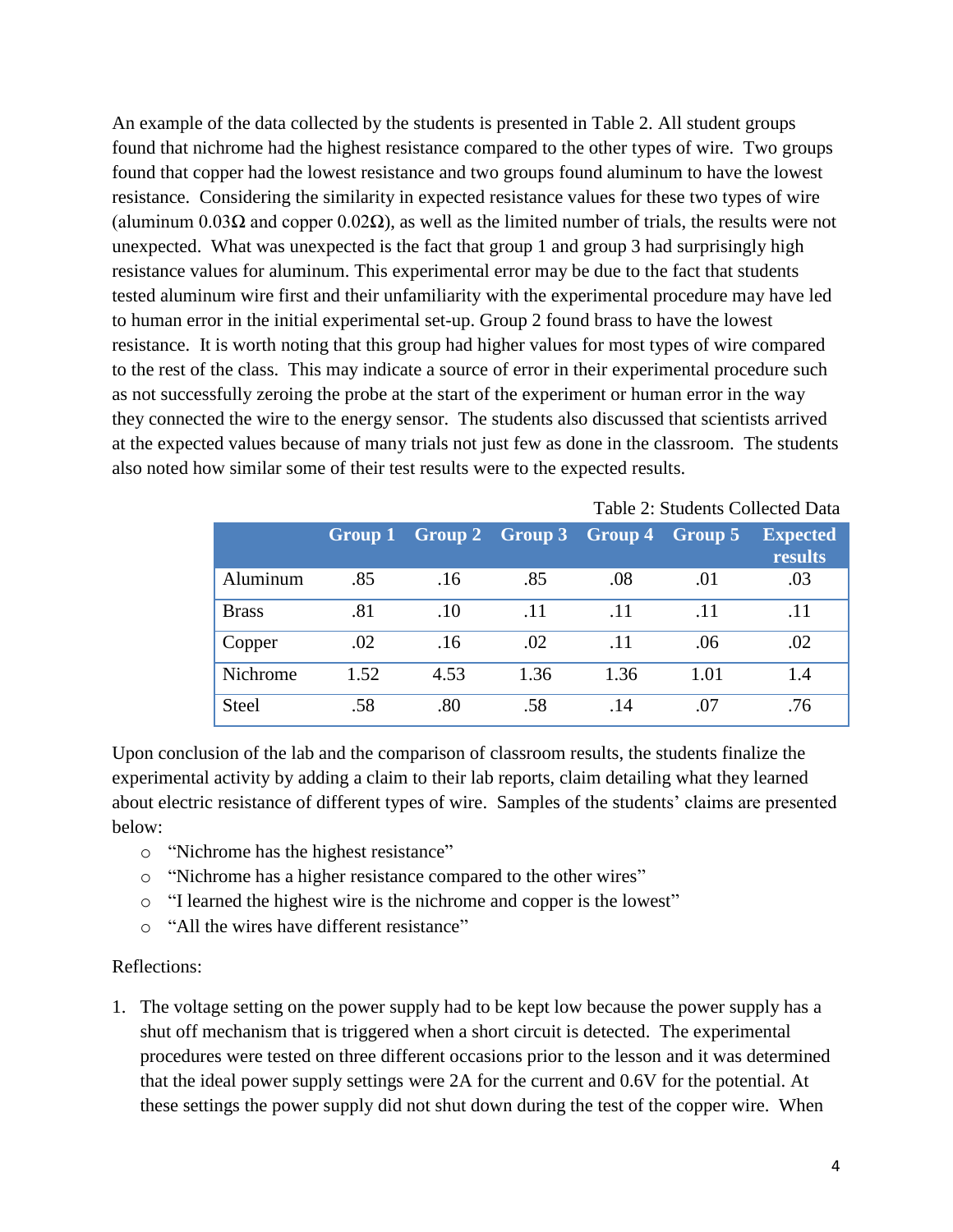An example of the data collected by the students is presented in Table 2. All student groups found that nichrome had the highest resistance compared to the other types of wire. Two groups found that copper had the lowest resistance and two groups found aluminum to have the lowest resistance. Considering the similarity in expected resistance values for these two types of wire (aluminum  $0.03\Omega$  and copper  $0.02\Omega$ ), as well as the limited number of trials, the results were not unexpected. What was unexpected is the fact that group 1 and group 3 had surprisingly high resistance values for aluminum. This experimental error may be due to the fact that students tested aluminum wire first and their unfamiliarity with the experimental procedure may have led to human error in the initial experimental set-up. Group 2 found brass to have the lowest resistance. It is worth noting that this group had higher values for most types of wire compared to the rest of the class. This may indicate a source of error in their experimental procedure such as not successfully zeroing the probe at the start of the experiment or human error in the way they connected the wire to the energy sensor. The students also discussed that scientists arrived at the expected values because of many trials not just few as done in the classroom. The students also noted how similar some of their test results were to the expected results.

|              |         |      |      |                                 |      | Table 2. Students Conceled Data |
|--------------|---------|------|------|---------------------------------|------|---------------------------------|
|              | Group 1 |      |      | Group 2 Group 3 Group 4 Group 5 |      | <b>Expected</b><br>results      |
| Aluminum     | .85     | .16  | .85  | .08                             | .01  | .03                             |
| <b>Brass</b> | .81     | .10  | .11  | .11                             | .11  | .11                             |
| Copper       | .02     | .16  | .02  | .11                             | .06  | .02                             |
| Nichrome     | 1.52    | 4.53 | 1.36 | 1.36                            | 1.01 | 1.4                             |
| <b>Steel</b> | .58     | .80  | .58  | .14                             | .07  | .76                             |

Table 2: Students Collected Data

Upon conclusion of the lab and the comparison of classroom results, the students finalize the experimental activity by adding a claim to their lab reports, claim detailing what they learned about electric resistance of different types of wire. Samples of the students' claims are presented below:

- o "Nichrome has the highest resistance"
- o "Nichrome has a higher resistance compared to the other wires"
- o "I learned the highest wire is the nichrome and copper is the lowest"
- o "All the wires have different resistance"

#### Reflections:

1. The voltage setting on the power supply had to be kept low because the power supply has a shut off mechanism that is triggered when a short circuit is detected. The experimental procedures were tested on three different occasions prior to the lesson and it was determined that the ideal power supply settings were 2A for the current and 0.6V for the potential. At these settings the power supply did not shut down during the test of the copper wire. When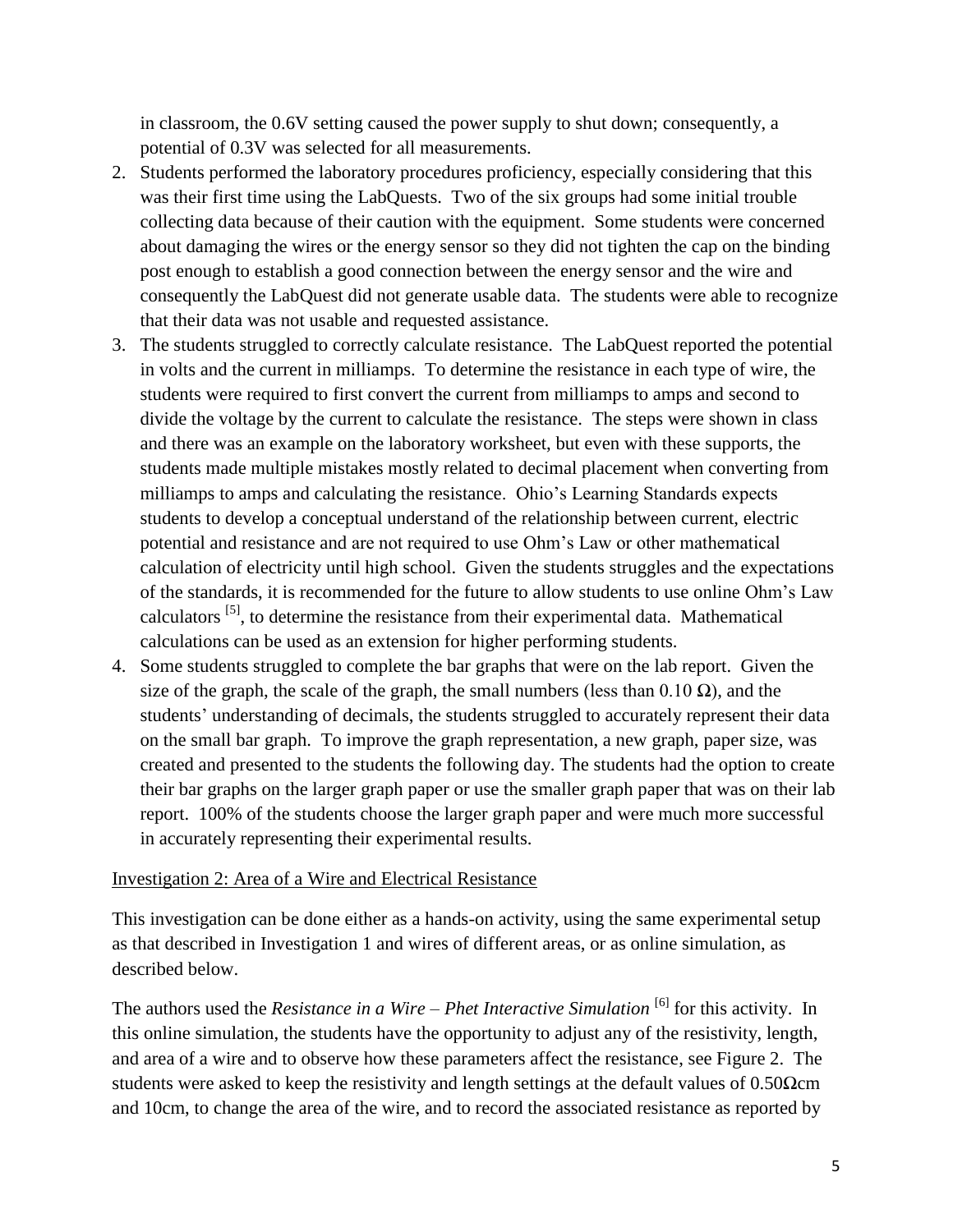in classroom, the 0.6V setting caused the power supply to shut down; consequently, a potential of 0.3V was selected for all measurements.

- 2. Students performed the laboratory procedures proficiency, especially considering that this was their first time using the LabQuests. Two of the six groups had some initial trouble collecting data because of their caution with the equipment. Some students were concerned about damaging the wires or the energy sensor so they did not tighten the cap on the binding post enough to establish a good connection between the energy sensor and the wire and consequently the LabQuest did not generate usable data. The students were able to recognize that their data was not usable and requested assistance.
- 3. The students struggled to correctly calculate resistance. The LabQuest reported the potential in volts and the current in milliamps. To determine the resistance in each type of wire, the students were required to first convert the current from milliamps to amps and second to divide the voltage by the current to calculate the resistance. The steps were shown in class and there was an example on the laboratory worksheet, but even with these supports, the students made multiple mistakes mostly related to decimal placement when converting from milliamps to amps and calculating the resistance. Ohio's Learning Standards expects students to develop a conceptual understand of the relationship between current, electric potential and resistance and are not required to use Ohm's Law or other mathematical calculation of electricity until high school. Given the students struggles and the expectations of the standards, it is recommended for the future to allow students to use online Ohm's Law calculators [5], to determine the resistance from their experimental data. Mathematical calculations can be used as an extension for higher performing students.
- 4. Some students struggled to complete the bar graphs that were on the lab report. Given the size of the graph, the scale of the graph, the small numbers (less than  $0.10 \Omega$ ), and the students' understanding of decimals, the students struggled to accurately represent their data on the small bar graph. To improve the graph representation, a new graph, paper size, was created and presented to the students the following day. The students had the option to create their bar graphs on the larger graph paper or use the smaller graph paper that was on their lab report. 100% of the students choose the larger graph paper and were much more successful in accurately representing their experimental results.

#### Investigation 2: Area of a Wire and Electrical Resistance

This investigation can be done either as a hands-on activity, using the same experimental setup as that described in Investigation 1 and wires of different areas, or as online simulation, as described below.

The authors used the *Resistance in a Wire – Phet Interactive Simulation* <sup>[6]</sup> for this activity. In this online simulation, the students have the opportunity to adjust any of the resistivity, length, and area of a wire and to observe how these parameters affect the resistance, see Figure 2. The students were asked to keep the resistivity and length settings at the default values of  $0.50\Omega$ cm and 10cm, to change the area of the wire, and to record the associated resistance as reported by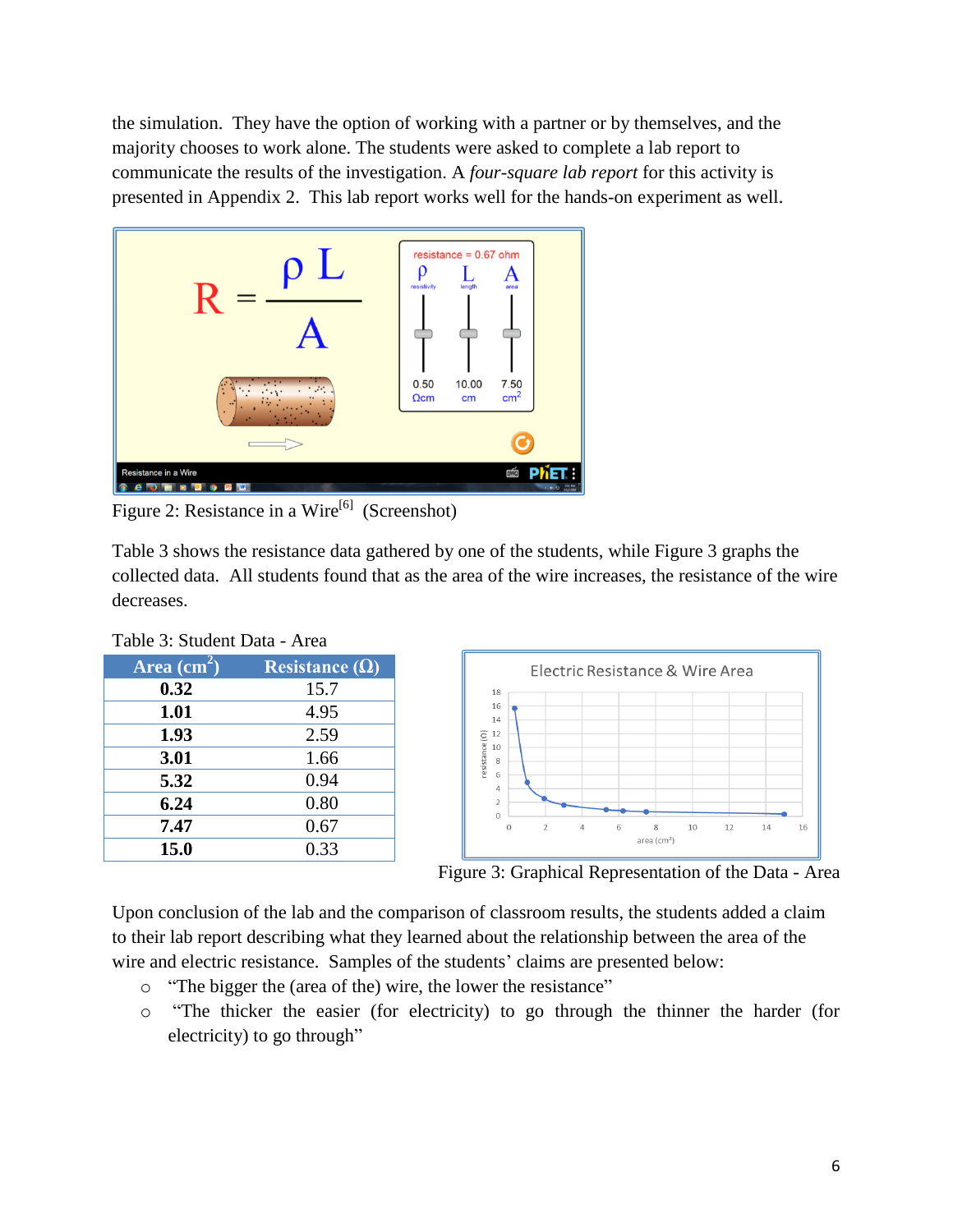the simulation. They have the option of working with a partner or by themselves, and the majority chooses to work alone. The students were asked to complete a lab report to communicate the results of the investigation. A *four-square lab report* for this activity is presented in Appendix 2. This lab report works well for the hands-on experiment as well.



Figure 2: Resistance in a Wire<sup>[6]</sup> (Screenshot)

Table 3 shows the resistance data gathered by one of the students, while Figure 3 graphs the collected data. All students found that as the area of the wire increases, the resistance of the wire decreases.

| Table 9. Student Data - Alea |                       |  |  |
|------------------------------|-----------------------|--|--|
| Area $\overline{(cm^2)}$     | Resistance $(\Omega)$ |  |  |
| 0.32                         | 15.7                  |  |  |
| 1.01                         | 4.95                  |  |  |
| 1.93                         | 2.59                  |  |  |
| 3.01                         | 1.66                  |  |  |
| 5.32                         | 0.94                  |  |  |
| 6.24                         | 0.80                  |  |  |
| 7.47                         | 0.67                  |  |  |
| 15.0                         | 0.33                  |  |  |
|                              |                       |  |  |

Table 3: Student Data - Area



Figure 3: Graphical Representation of the Data - Area

Upon conclusion of the lab and the comparison of classroom results, the students added a claim to their lab report describing what they learned about the relationship between the area of the wire and electric resistance. Samples of the students' claims are presented below:

- o "The bigger the (area of the) wire, the lower the resistance"
- o "The thicker the easier (for electricity) to go through the thinner the harder (for electricity) to go through"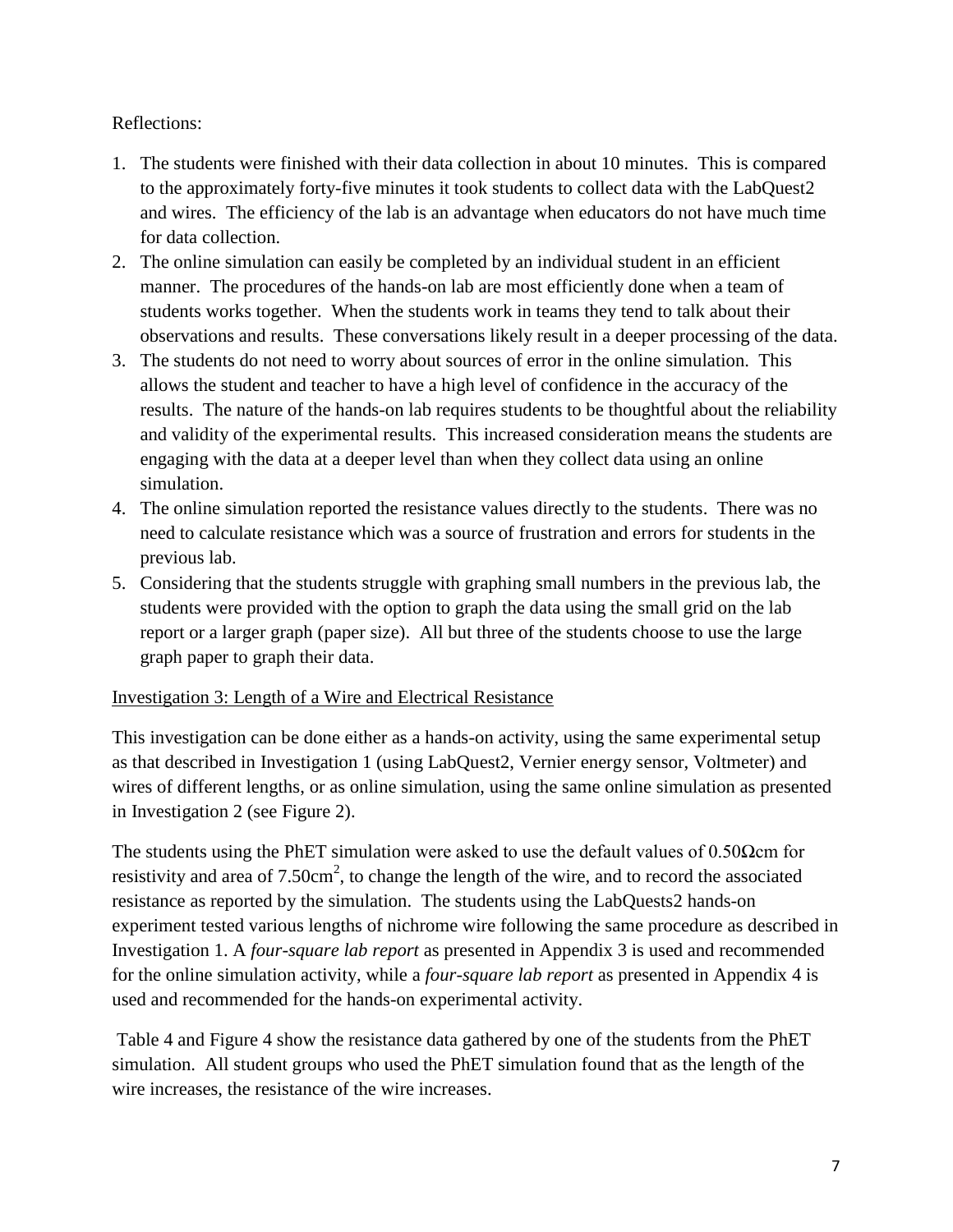## Reflections:

- 1. The students were finished with their data collection in about 10 minutes. This is compared to the approximately forty-five minutes it took students to collect data with the LabQuest2 and wires. The efficiency of the lab is an advantage when educators do not have much time for data collection.
- 2. The online simulation can easily be completed by an individual student in an efficient manner. The procedures of the hands-on lab are most efficiently done when a team of students works together. When the students work in teams they tend to talk about their observations and results. These conversations likely result in a deeper processing of the data.
- 3. The students do not need to worry about sources of error in the online simulation. This allows the student and teacher to have a high level of confidence in the accuracy of the results. The nature of the hands-on lab requires students to be thoughtful about the reliability and validity of the experimental results. This increased consideration means the students are engaging with the data at a deeper level than when they collect data using an online simulation.
- 4. The online simulation reported the resistance values directly to the students. There was no need to calculate resistance which was a source of frustration and errors for students in the previous lab.
- 5. Considering that the students struggle with graphing small numbers in the previous lab, the students were provided with the option to graph the data using the small grid on the lab report or a larger graph (paper size). All but three of the students choose to use the large graph paper to graph their data.

#### Investigation 3: Length of a Wire and Electrical Resistance

This investigation can be done either as a hands-on activity, using the same experimental setup as that described in Investigation 1 (using LabQuest2, Vernier energy sensor, Voltmeter) and wires of different lengths, or as online simulation, using the same online simulation as presented in Investigation 2 (see Figure 2).

The students using the PhET simulation were asked to use the default values of  $0.50\Omega$ cm for resistivity and area of  $7.50 \text{cm}^2$ , to change the length of the wire, and to record the associated resistance as reported by the simulation. The students using the LabQuests2 hands-on experiment tested various lengths of nichrome wire following the same procedure as described in Investigation 1. A *four-square lab report* as presented in Appendix 3 is used and recommended for the online simulation activity, while a *four-square lab report* as presented in Appendix 4 is used and recommended for the hands-on experimental activity.

Table 4 and Figure 4 show the resistance data gathered by one of the students from the PhET simulation. All student groups who used the PhET simulation found that as the length of the wire increases, the resistance of the wire increases.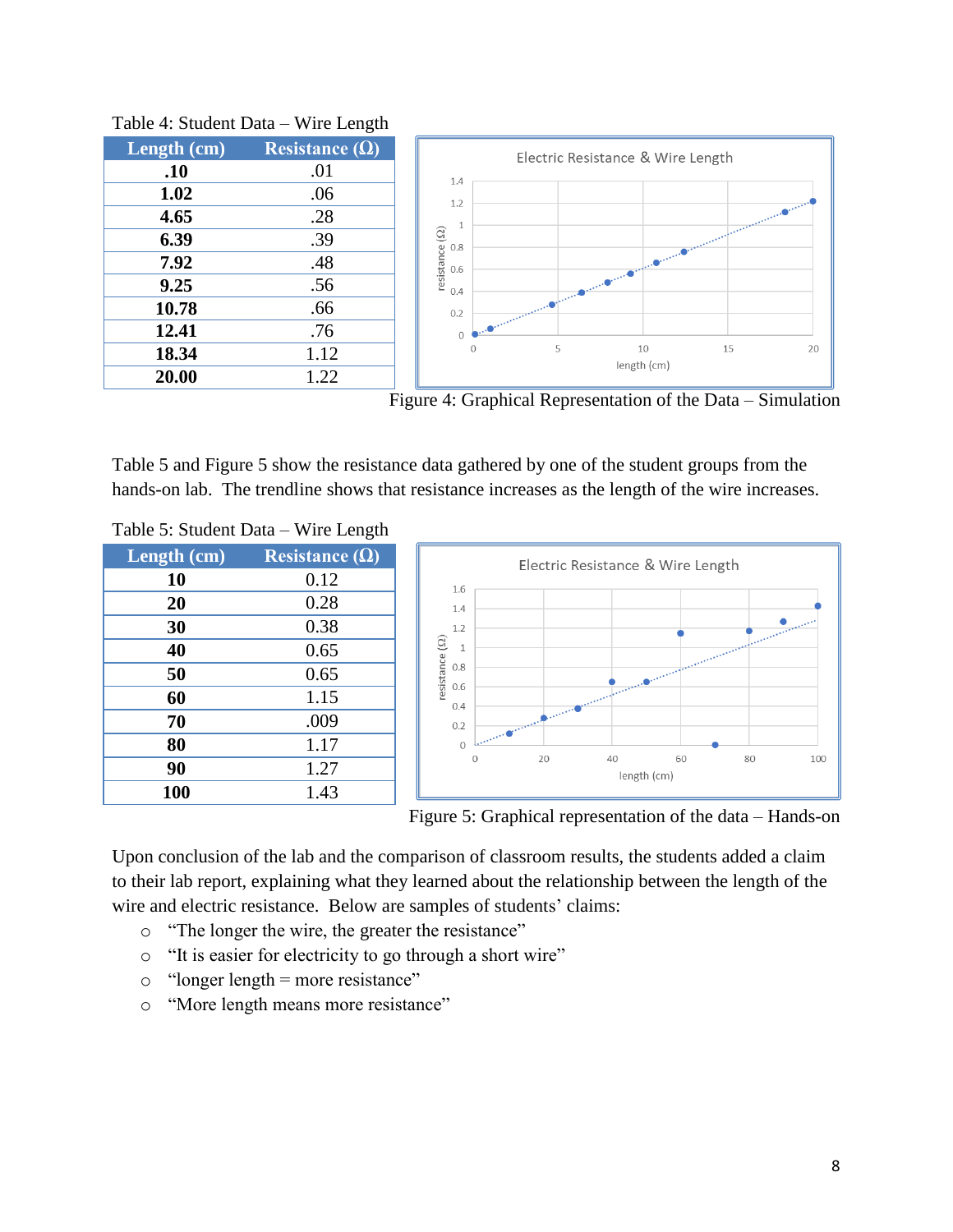| Length (cm) | Resistance $(\Omega)$ |
|-------------|-----------------------|
| .10         | .01                   |
| 1.02        | .06                   |
| 4.65        | .28                   |
| 6.39        | .39                   |
| 7.92        | .48                   |
| 9.25        | .56                   |
| 10.78       | .66                   |
| 12.41       | .76                   |
| 18.34       | 1.12                  |
| 20.00       | 1.22                  |



Table 4: Student Data – Wire Length



Table 5 and Figure 5 show the resistance data gathered by one of the student groups from the hands-on lab. The trendline shows that resistance increases as the length of the wire increases.

| Length (cm) | Resistance $(\Omega)$ |
|-------------|-----------------------|
| 10          | 0.12                  |
| 20          | 0.28                  |
| 30          | 0.38                  |
| 40          | 0.65                  |
| 50          | 0.65                  |
| 60          | 1.15                  |
| 70          | .009                  |
| 80          | 1.17                  |
| 90          | 1.27                  |
| 100         | 1.43                  |

Table 5: Student Data – Wire Length





Upon conclusion of the lab and the comparison of classroom results, the students added a claim to their lab report, explaining what they learned about the relationship between the length of the wire and electric resistance. Below are samples of students' claims:

- o "The longer the wire, the greater the resistance"
- o "It is easier for electricity to go through a short wire"
- $\circ$  "longer length = more resistance"
- o "More length means more resistance"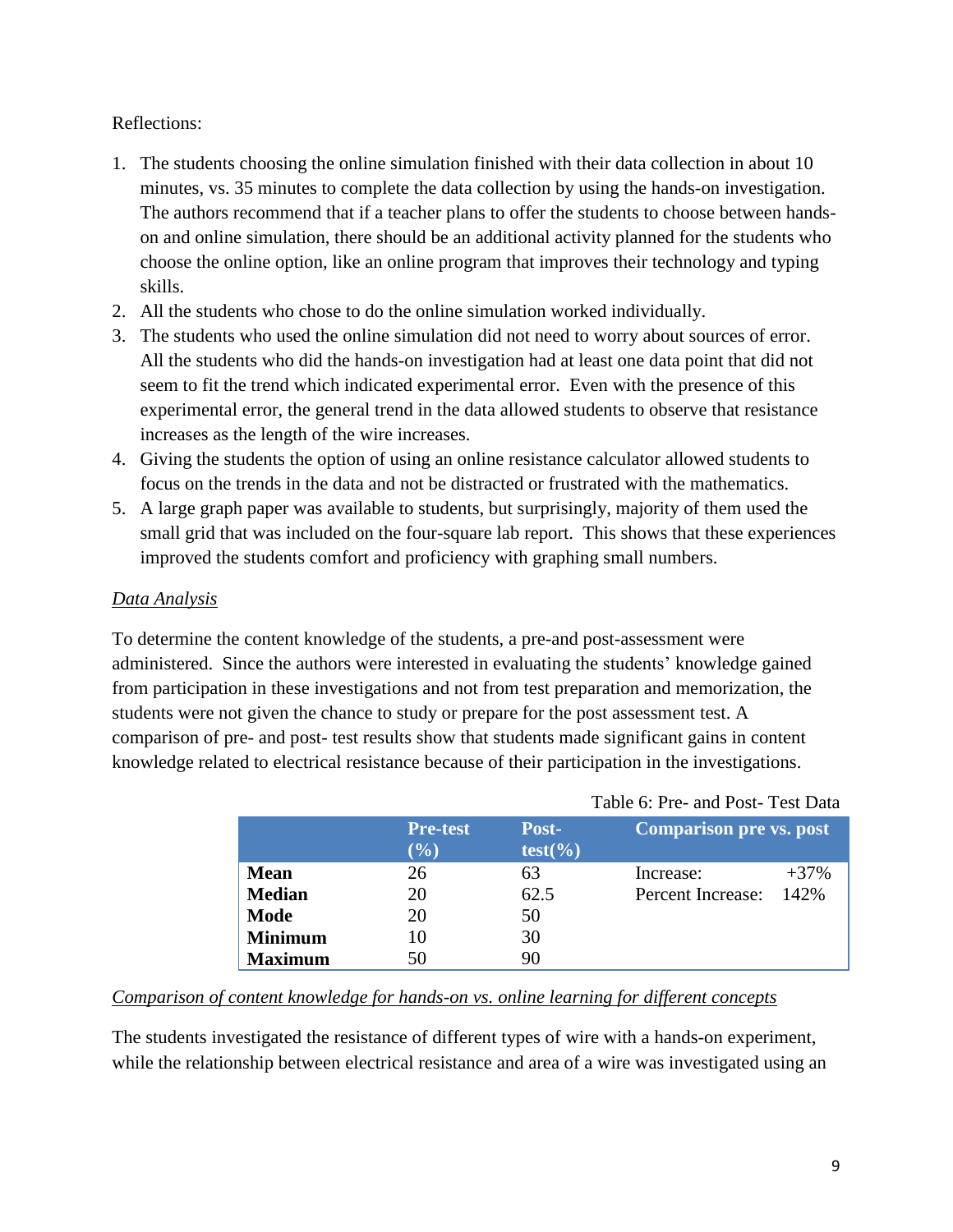#### Reflections:

- 1. The students choosing the online simulation finished with their data collection in about 10 minutes, vs. 35 minutes to complete the data collection by using the hands-on investigation. The authors recommend that if a teacher plans to offer the students to choose between handson and online simulation, there should be an additional activity planned for the students who choose the online option, like an online program that improves their technology and typing skills.
- 2. All the students who chose to do the online simulation worked individually.
- 3. The students who used the online simulation did not need to worry about sources of error. All the students who did the hands-on investigation had at least one data point that did not seem to fit the trend which indicated experimental error. Even with the presence of this experimental error, the general trend in the data allowed students to observe that resistance increases as the length of the wire increases.
- 4. Giving the students the option of using an online resistance calculator allowed students to focus on the trends in the data and not be distracted or frustrated with the mathematics.
- 5. A large graph paper was available to students, but surprisingly, majority of them used the small grid that was included on the four-square lab report. This shows that these experiences improved the students comfort and proficiency with graphing small numbers.

#### *Data Analysis*

To determine the content knowledge of the students, a pre-and post-assessment were administered. Since the authors were interested in evaluating the students' knowledge gained from participation in these investigations and not from test preparation and memorization, the students were not given the chance to study or prepare for the post assessment test. A comparison of pre- and post- test results show that students made significant gains in content knowledge related to electrical resistance because of their participation in the investigations.

|                |                        |                     | Tuble 0.110 and 1 000 1 000 Dulu |         |
|----------------|------------------------|---------------------|----------------------------------|---------|
|                | <b>Pre-test</b><br>(%) | Post-<br>$test(\%)$ | <b>Comparison pre vs. post</b>   |         |
| <b>Mean</b>    | 26                     | 63                  | Increase:                        | $+37\%$ |
| <b>Median</b>  | 20                     | 62.5                | Percent Increase:                | 142%    |
| <b>Mode</b>    | 20                     | 50                  |                                  |         |
| <b>Minimum</b> | 10                     | 30                  |                                  |         |
| <b>Maximum</b> | 50                     | 90                  |                                  |         |

#### Table 6: Pre- and Post- Test Data

## *Comparison of content knowledge for hands-on vs. online learning for different concepts*

The students investigated the resistance of different types of wire with a hands-on experiment, while the relationship between electrical resistance and area of a wire was investigated using an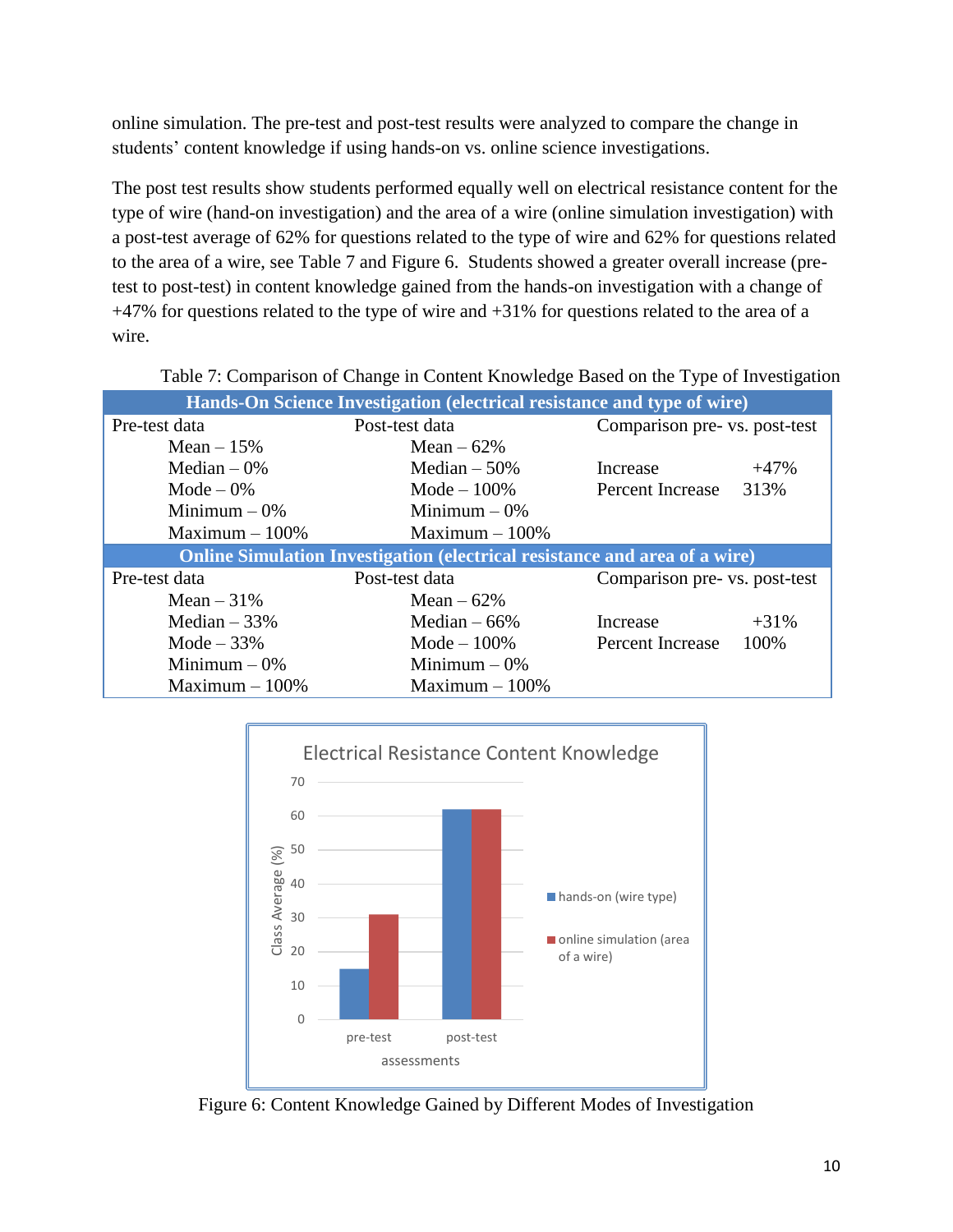online simulation. The pre-test and post-test results were analyzed to compare the change in students' content knowledge if using hands-on vs. online science investigations.

The post test results show students performed equally well on electrical resistance content for the type of wire (hand-on investigation) and the area of a wire (online simulation investigation) with a post-test average of 62% for questions related to the type of wire and 62% for questions related to the area of a wire, see Table 7 and Figure 6. Students showed a greater overall increase (pretest to post-test) in content knowledge gained from the hands-on investigation with a change of +47% for questions related to the type of wire and +31% for questions related to the area of a wire.

| Hands-On Science Investigation (electrical resistance and type of wire) |                                                                                   |                               |        |  |
|-------------------------------------------------------------------------|-----------------------------------------------------------------------------------|-------------------------------|--------|--|
| Pre-test data                                                           | Post-test data                                                                    | Comparison pre- vs. post-test |        |  |
| Mean $-15%$                                                             | Mean $-62%$                                                                       |                               |        |  |
| Median $-0\%$                                                           | Median $-50\%$                                                                    | Increase                      | $+47%$ |  |
| Mode $-0\%$                                                             | Mode $-100\%$                                                                     | Percent Increase              | 313%   |  |
| Minimum $-0\%$                                                          | Minimum $-0\%$                                                                    |                               |        |  |
| Maximum $-100\%$                                                        | Maximum $-100\%$                                                                  |                               |        |  |
|                                                                         |                                                                                   |                               |        |  |
|                                                                         | <b>Online Simulation Investigation (electrical resistance and area of a wire)</b> |                               |        |  |
| Pre-test data                                                           | Post-test data                                                                    | Comparison pre- vs. post-test |        |  |
| Mean $-31%$                                                             | Mean $-62%$                                                                       |                               |        |  |
| Median $-33%$                                                           | Median $-66%$                                                                     | Increase                      | $+31%$ |  |
| Mode $-33%$                                                             | Mode $-100\%$                                                                     | <b>Percent Increase</b>       | 100%   |  |
| Minimum $-0\%$                                                          | Minimum $-0\%$                                                                    |                               |        |  |

Table 7: Comparison of Change in Content Knowledge Based on the Type of Investigation



Figure 6: Content Knowledge Gained by Different Modes of Investigation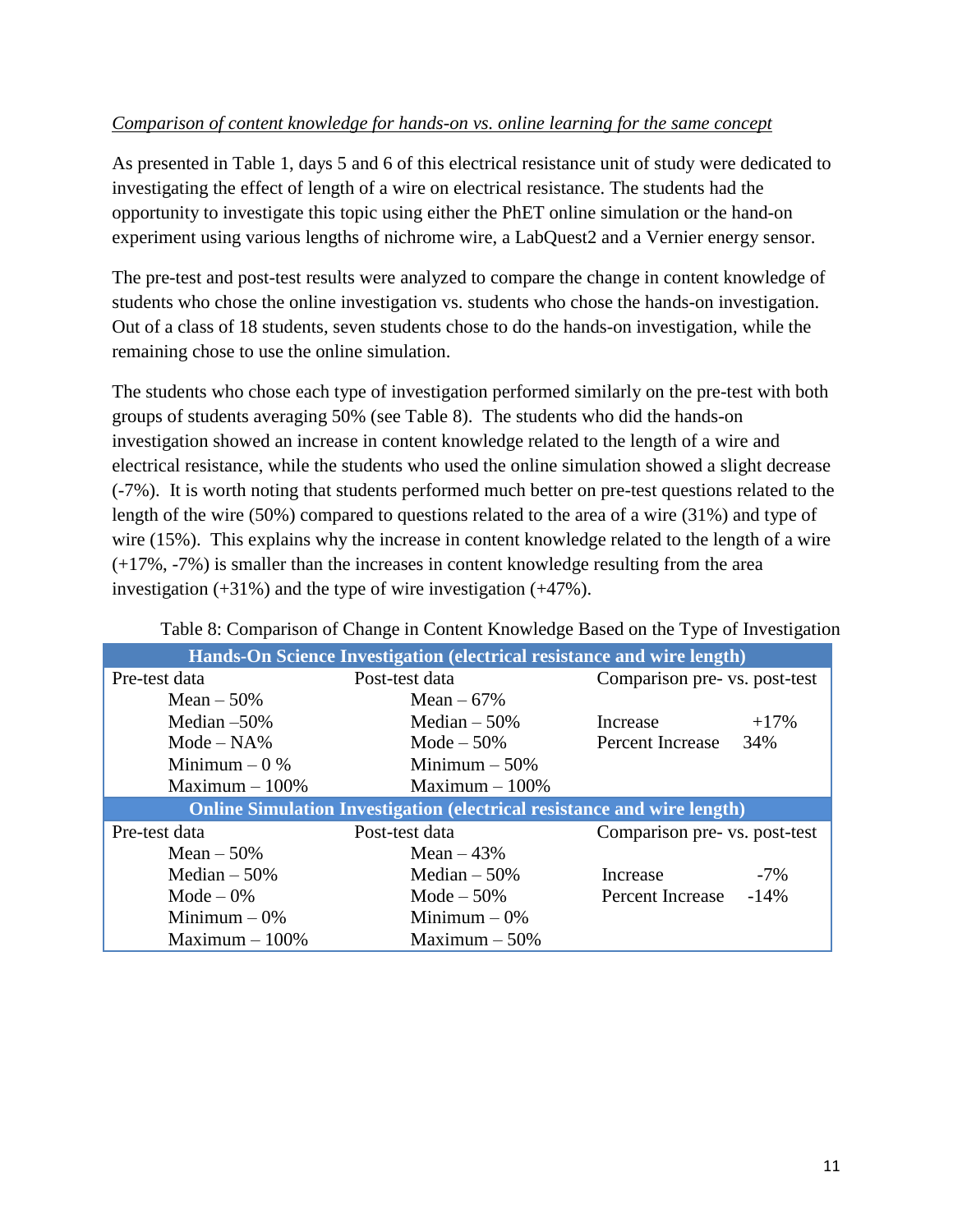## *Comparison of content knowledge for hands-on vs. online learning for the same concept*

As presented in Table 1, days 5 and 6 of this electrical resistance unit of study were dedicated to investigating the effect of length of a wire on electrical resistance. The students had the opportunity to investigate this topic using either the PhET online simulation or the hand-on experiment using various lengths of nichrome wire, a LabQuest2 and a Vernier energy sensor.

The pre-test and post-test results were analyzed to compare the change in content knowledge of students who chose the online investigation vs. students who chose the hands-on investigation. Out of a class of 18 students, seven students chose to do the hands-on investigation, while the remaining chose to use the online simulation.

The students who chose each type of investigation performed similarly on the pre-test with both groups of students averaging 50% (see Table 8). The students who did the hands-on investigation showed an increase in content knowledge related to the length of a wire and electrical resistance, while the students who used the online simulation showed a slight decrease (-7%). It is worth noting that students performed much better on pre-test questions related to the length of the wire (50%) compared to questions related to the area of a wire (31%) and type of wire (15%). This explains why the increase in content knowledge related to the length of a wire (+17%, -7%) is smaller than the increases in content knowledge resulting from the area investigation (+31%) and the type of wire investigation (+47%).

| Twore of Companion of Change in Content Knowledge Based on the Type of Investigation |                  |                               |                               |  |
|--------------------------------------------------------------------------------------|------------------|-------------------------------|-------------------------------|--|
| Hands-On Science Investigation (electrical resistance and wire length)               |                  |                               |                               |  |
| Pre-test data                                                                        | Post-test data   | Comparison pre- vs. post-test |                               |  |
| Mean $-50\%$                                                                         | Mean $-67\%$     |                               |                               |  |
| Median $-50\%$                                                                       | Median $-50\%$   | Increase                      | $+17%$                        |  |
| $Mode - NA\%$                                                                        | Mode $-50\%$     | Percent Increase              | 34%                           |  |
| Minimum $-0$ %                                                                       | Minimum $-50\%$  |                               |                               |  |
| $Maximum - 100\%$                                                                    | Maximum $-100\%$ |                               |                               |  |
| <b>Online Simulation Investigation (electrical resistance and wire length)</b>       |                  |                               |                               |  |
| Pre-test data                                                                        | Post-test data   |                               | Comparison pre- vs. post-test |  |
| Mean $-50\%$                                                                         | Mean $-43%$      |                               |                               |  |
| Median $-50%$                                                                        | Median $-50%$    | Increase                      | $-7\%$                        |  |
| Mode $-0\%$                                                                          | Mode $-50\%$     | Percent Increase              | $-14%$                        |  |
| Minimum $-0\%$                                                                       | Minimum $-0\%$   |                               |                               |  |
| Maximum $-100\%$                                                                     | Maximum $-50\%$  |                               |                               |  |

Table 8: Comparison of Change in Content Knowledge Based on the Type of Investigation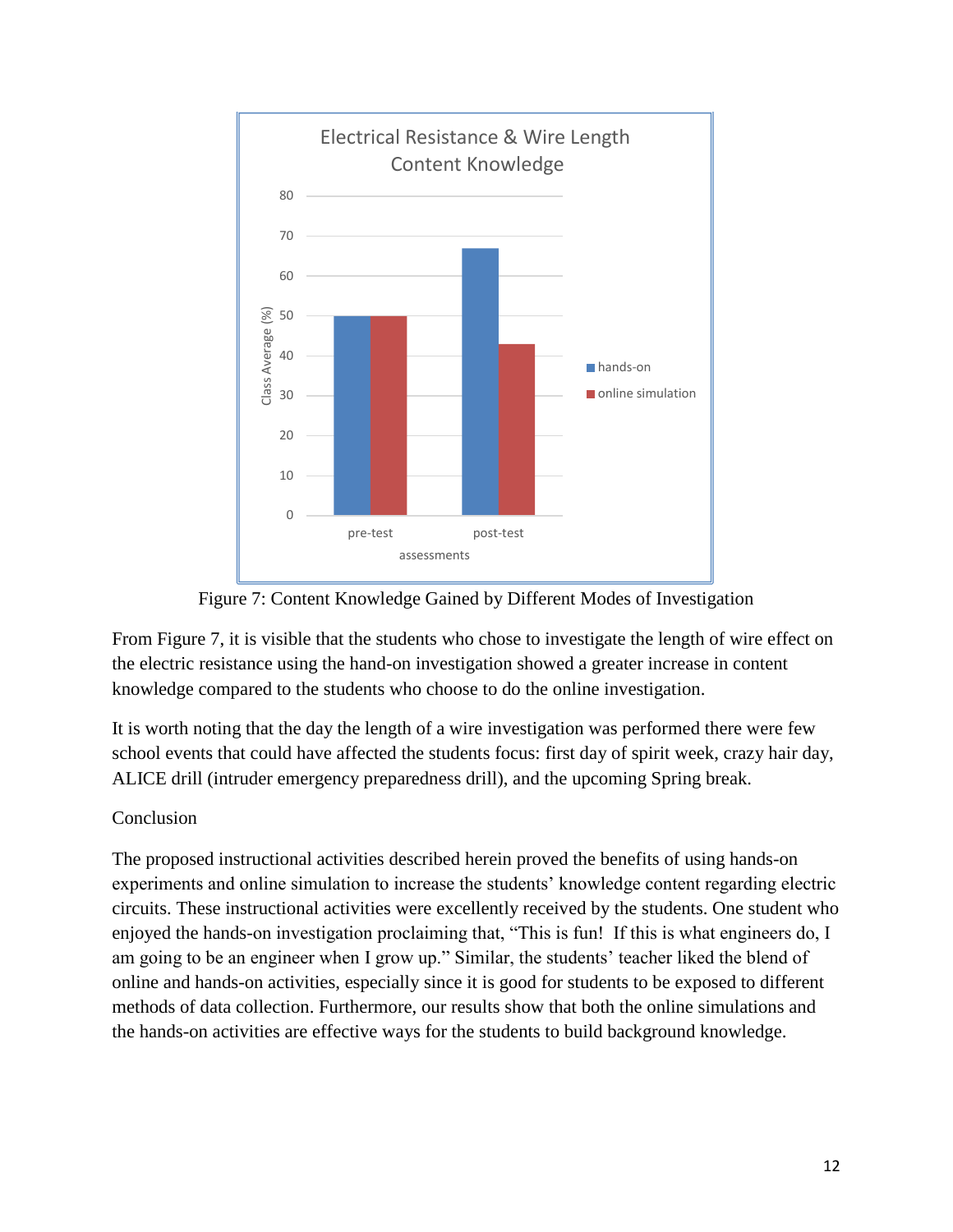



From Figure 7, it is visible that the students who chose to investigate the length of wire effect on the electric resistance using the hand-on investigation showed a greater increase in content knowledge compared to the students who choose to do the online investigation.

It is worth noting that the day the length of a wire investigation was performed there were few school events that could have affected the students focus: first day of spirit week, crazy hair day, ALICE drill (intruder emergency preparedness drill), and the upcoming Spring break.

## Conclusion

The proposed instructional activities described herein proved the benefits of using hands-on experiments and online simulation to increase the students' knowledge content regarding electric circuits. These instructional activities were excellently received by the students. One student who enjoyed the hands-on investigation proclaiming that, "This is fun! If this is what engineers do, I am going to be an engineer when I grow up." Similar, the students' teacher liked the blend of online and hands-on activities, especially since it is good for students to be exposed to different methods of data collection. Furthermore, our results show that both the online simulations and the hands-on activities are effective ways for the students to build background knowledge.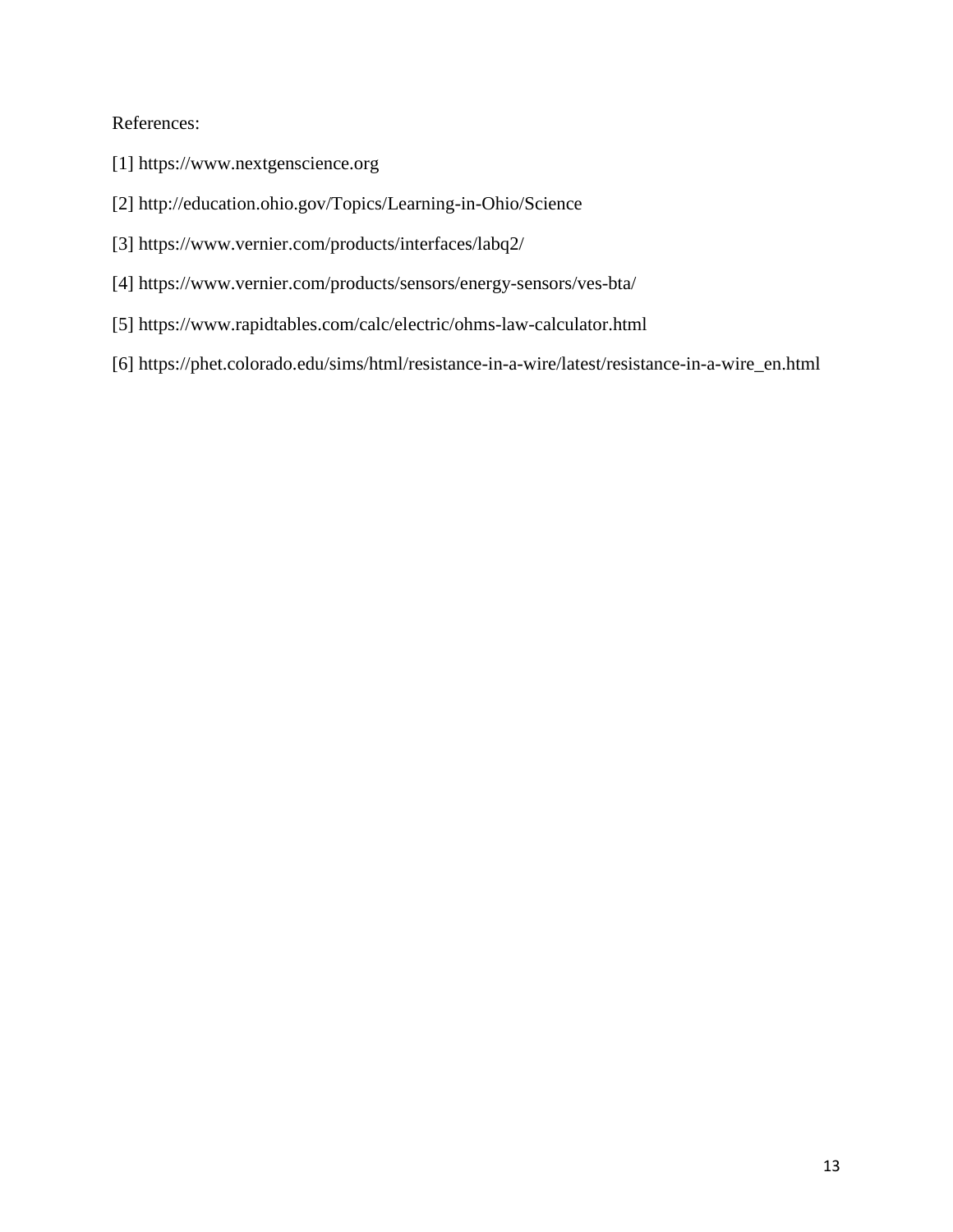## References:

- [1] [https://www.nextgenscience.org](https://www.nextgenscience.org/)
- [2]<http://education.ohio.gov/Topics/Learning-in-Ohio/Science>
- [3]<https://www.vernier.com/products/interfaces/labq2/>
- [4]<https://www.vernier.com/products/sensors/energy-sensors/ves-bta/>
- [5]<https://www.rapidtables.com/calc/electric/ohms-law-calculator.html>
- [6] [https://phet.colorado.edu/sims/html/resistance-in-a-wire/latest/resistance-in-a-wire\\_en.html](https://phet.colorado.edu/sims/html/resistance-in-a-wire/latest/resistance-in-a-wire_en.html)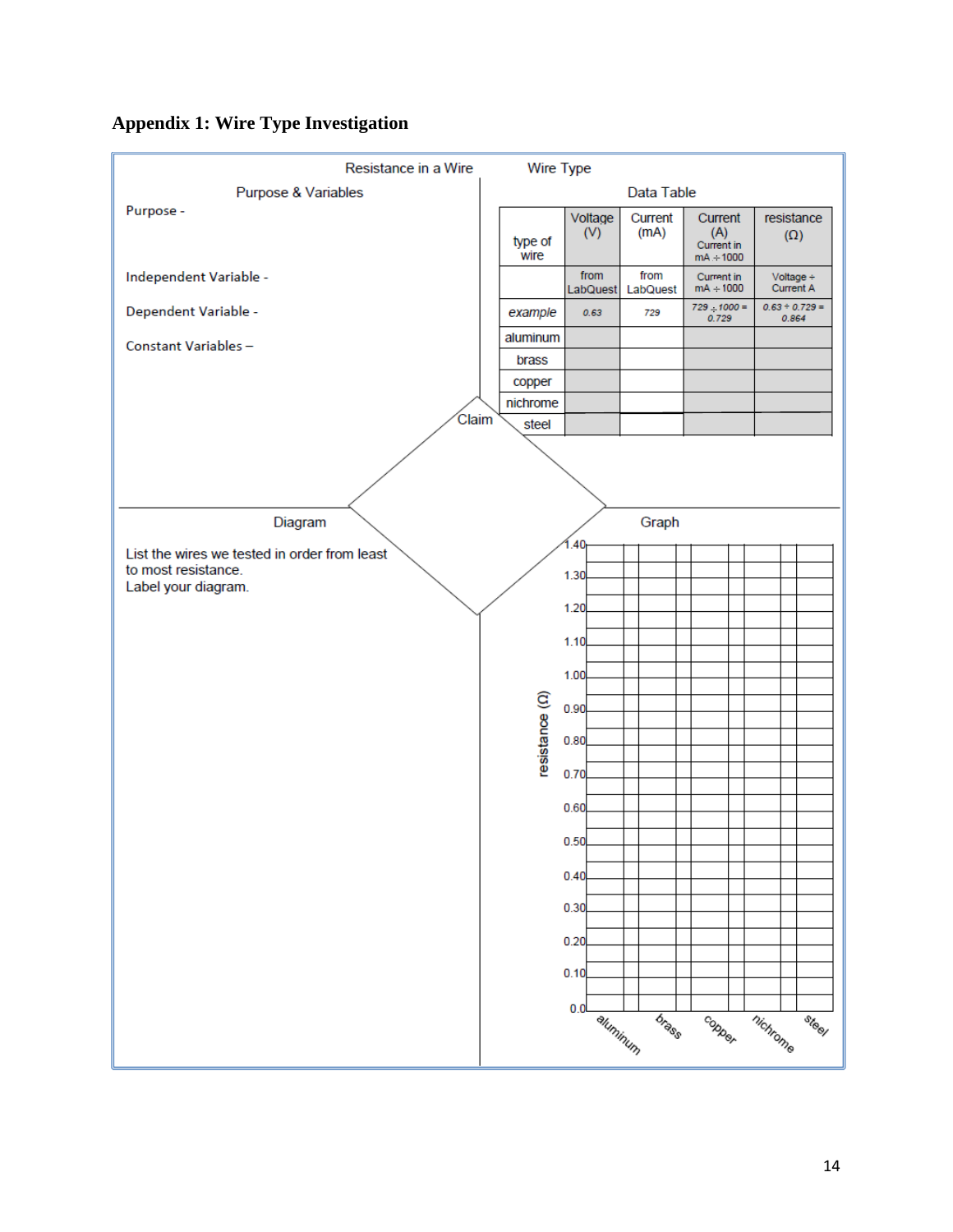## **Appendix 1: Wire Type Investigation**

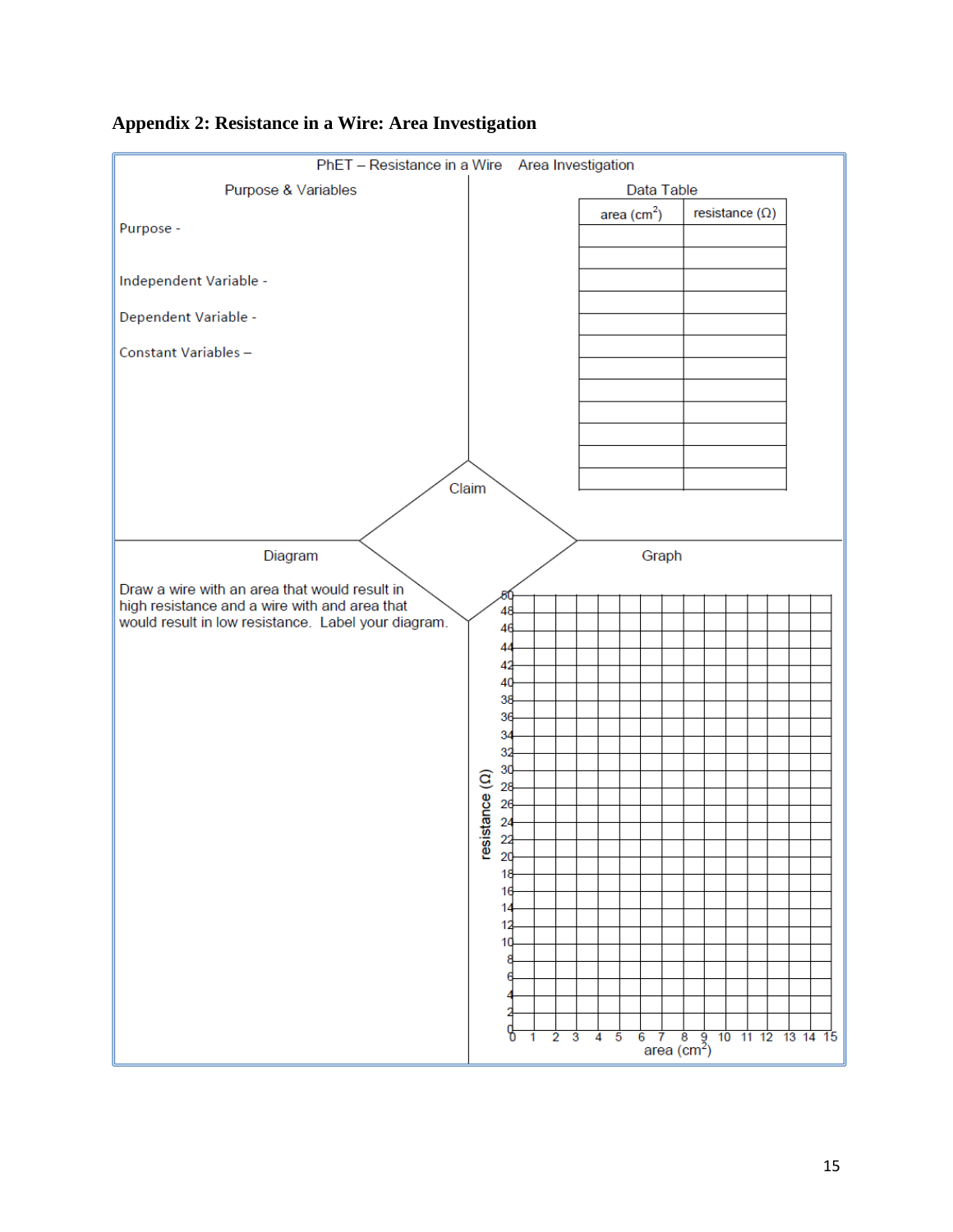

## **Appendix 2: Resistance in a Wire: Area Investigation**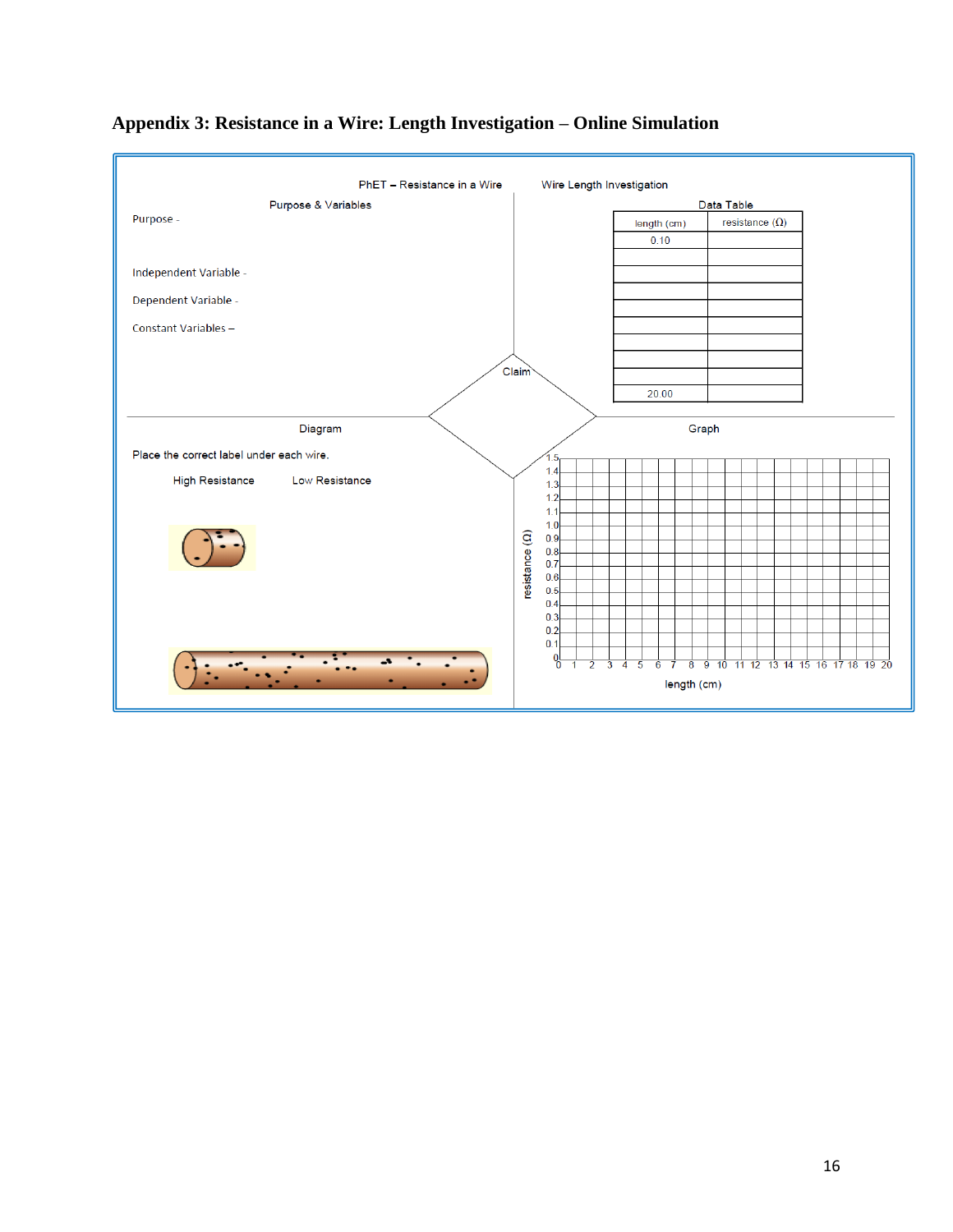

## **Appendix 3: Resistance in a Wire: Length Investigation – Online Simulation**